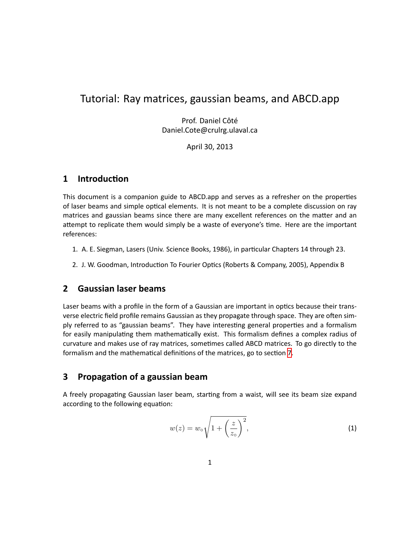# Tutorial: Ray matrices, gaussian beams, and ABCD.app

Prof. Daniel Côté Daniel.Cote@crulrg.ulaval.ca

April 30, 2013

#### **1 IntroducƟon**

This document is a companion guide to ABCD.app and serves as a refresher on the properties of laser beams and simple optical elements. It is not meant to be a complete discussion on ray matrices and gaussian beams since there are many excellent references on the matter and an attempt to replicate them would simply be a waste of everyone's time. Here are the important references:

- 1. A. E. Siegman, Lasers (Univ. Science Books, 1986), in particular Chapters 14 through 23.
- 2. J. W. Goodman, Introduction To Fourier Optics (Roberts & Company, 2005), Appendix B

### **2 Gaussian laser beams**

Laser beams with a profile in the form of a Gaussian are important in optics because their transverse electric field profile remains Gaussian as they propagate through space. They are often simply referred to as "gaussian beams". They have interesting general properties and a formalism for easily manipulating them mathematically exist. This formalism defines a complex radius of curvature and makes use of ray matrices, sometimes called ABCD matrices. To go directly to the formalism and the mathematical definitions of the matrices, go to section [7.](#page-4-0)

### **3 PropagaƟon of a gaussian beam**

A freely propagating Gaussian laser beam, starting from a waist, will see its beam size expand according to the following equation:

$$
w(z) = w_{\circ} \sqrt{1 + \left(\frac{z}{z_{\circ}}\right)^2},\tag{1}
$$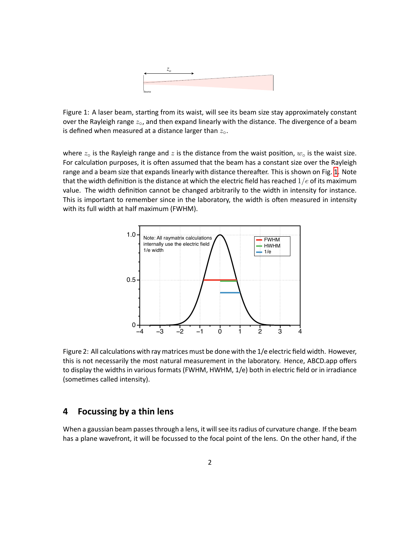

<span id="page-1-0"></span>Figure 1: A laser beam, starting from its waist, will see its beam size stay approximately constant over the Rayleigh range *z◦*, and then expand linearly with the distance. The divergence of a beam is defined when measured at a distance larger than *z◦*.

where  $z_{\text{o}}$  is the Rayleigh range and  $z$  is the distance from the waist position,  $w_{\text{o}}$  is the waist size. For calculation purposes, it is often assumed that the beam has a constant size over the Rayleigh range and a beam size that expands linearly with distance thereafter. This is shown on Fig. [1](#page-1-0). Note that the width definition is the distance at which the electric field has reached  $1/e$  of its maximum value. The width definition cannot be changed arbitrarily to the width in intensity for instance. This is important to remember since in the laboratory, the width is often measured in intensity with its full width at half maximum (FWHM).



Figure 2: All calculations with ray matrices must be done with the 1/e electric field width. However, this is not necessarily the most natural measurement in the laboratory. Hence, ABCD.app offers to display the widths in various formats (FWHM, HWHM, 1/e) both in electric field or in irradiance (sometimes called intensity).

#### **4 Focussing by a thin lens**

When a gaussian beam passes through a lens, it will see its radius of curvature change. If the beam has a plane wavefront, it will be focussed to the focal point of the lens. On the other hand, if the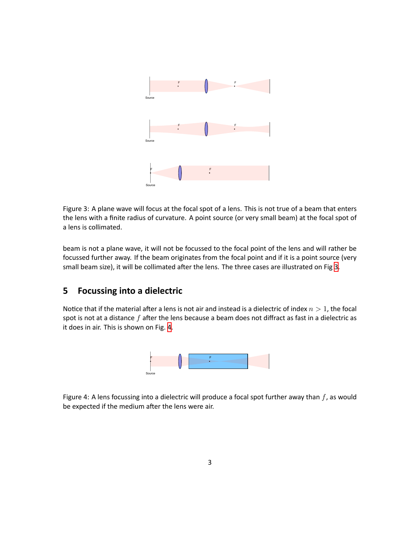

<span id="page-2-0"></span>Figure 3: A plane wave will focus at the focal spot of a lens. This is not true of a beam that enters the lens with a finite radius of curvature. A point source (or very small beam) at the focal spot of a lens is collimated.

beam is not a plane wave, it will not be focussed to the focal point of the lens and will rather be focussed further away. If the beam originates from the focal point and if it is a point source (very small beam size), it will be collimated after the lens. The three cases are illustrated on Fig [3](#page-2-0).

## **5 Focussing into a dielectric**

Notice that if the material after a lens is not air and instead is a dielectric of index  $n > 1$ , the focal spot is not at a distance f after the lens because a beam does not diffract as fast in a dielectric as it does in air. This is shown on Fig. [4.](#page-2-1)



<span id="page-2-1"></span>Figure 4: A lens focussing into a dielectric will produce a focal spot further away than *f*, as would be expected if the medium after the lens were air.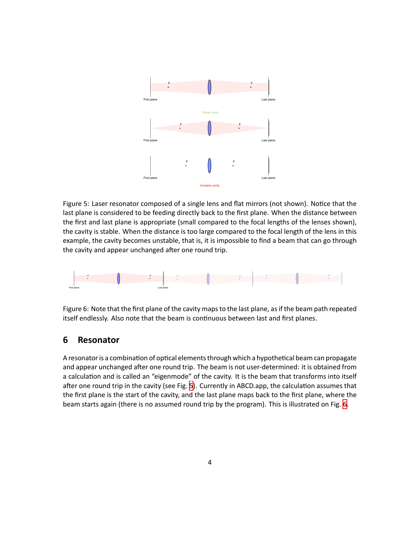

<span id="page-3-0"></span>Figure 5: Laser resonator composed of a single lens and flat mirrors (not shown). Notice that the last plane is considered to be feeding directly back to the first plane. When the distance between the first and last plane is appropriate (small compared to the focal lengths of the lenses shown), the cavity is stable. When the distance is too large compared to the focal length of the lens in this example, the cavity becomes unstable, that is, it is impossible to find a beam that can go through the cavity and appear unchanged after one round trip.



<span id="page-3-1"></span>Figure 6: Note that the first plane of the cavity maps to the last plane, as if the beam path repeated itself endlessly. Also note that the beam is continuous between last and first planes.

### **6 Resonator**

A resonator is a combination of optical elements through which a hypothetical beam can propagate and appear unchanged after one round trip. The beam is not user-determined: it is obtained from a calculation and is called an "eigenmode" of the cavity. It is the beam that transforms into itself after one round trip in the cavity (see Fig. [5\)](#page-3-0). Currently in ABCD.app, the calculation assumes that the first plane is the start of the cavity, and the last plane maps back to the first plane, where the beam starts again (there is no assumed round trip by the program). This is illustrated on Fig. [6.](#page-3-1)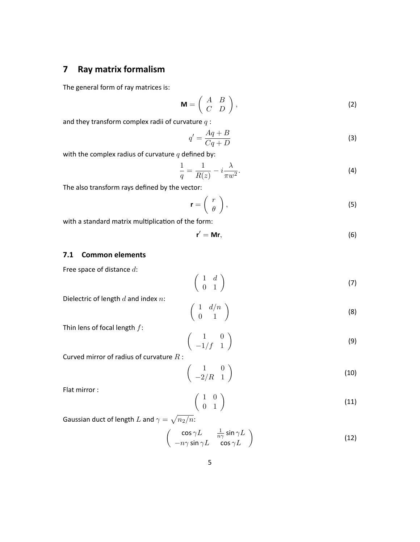## <span id="page-4-0"></span>**7 Ray matrix formalism**

The general form of ray matrices is:

$$
\mathbf{M} = \left( \begin{array}{cc} A & B \\ C & D \end{array} \right),\tag{2}
$$

and they transform complex radii of curvature *q* :

$$
q' = \frac{Aq + B}{Cq + D} \tag{3}
$$

with the complex radius of curvature *q* defined by:

$$
\frac{1}{q} = \frac{1}{R(z)} - i\frac{\lambda}{\pi w^2}.\tag{4}
$$

The also transform rays defined by the vector:

$$
\mathbf{r} = \left(\begin{array}{c} r \\ \theta \end{array}\right),\tag{5}
$$

with a standard matrix multiplication of the form:

$$
\mathbf{r}' = \mathbf{Mr},\tag{6}
$$

#### **7.1 Common elements**

Free space of distance *d* :

$$
\left(\begin{array}{cc} 1 & d \\ 0 & 1 \end{array}\right) \tag{7}
$$

Dielectric of length *d* and index *n* :

$$
\left(\begin{array}{cc} 1 & d/n \\ 0 & 1 \end{array}\right) \tag{8}
$$

Thin lens of focal length *f* :

$$
\left(\begin{array}{cc} 1 & 0 \\ -1/f & 1 \end{array}\right) \tag{9}
$$

Curved mirror of radius of curvature *R* :

$$
\left(\begin{array}{cc} 1 & 0 \\ -2/R & 1 \end{array}\right) \tag{10}
$$

Flat mirror :

$$
\left(\begin{array}{cc} 1 & 0 \\ 0 & 1 \end{array}\right) \tag{11}
$$

Gaussian duct of length  $L$  and  $\gamma = \sqrt{n_2/n}$ :

$$
\begin{pmatrix}\n\cos \gamma L & \frac{1}{n\gamma} \sin \gamma L \\
-n\gamma \sin \gamma L & \cos \gamma L\n\end{pmatrix}
$$
\n(12)